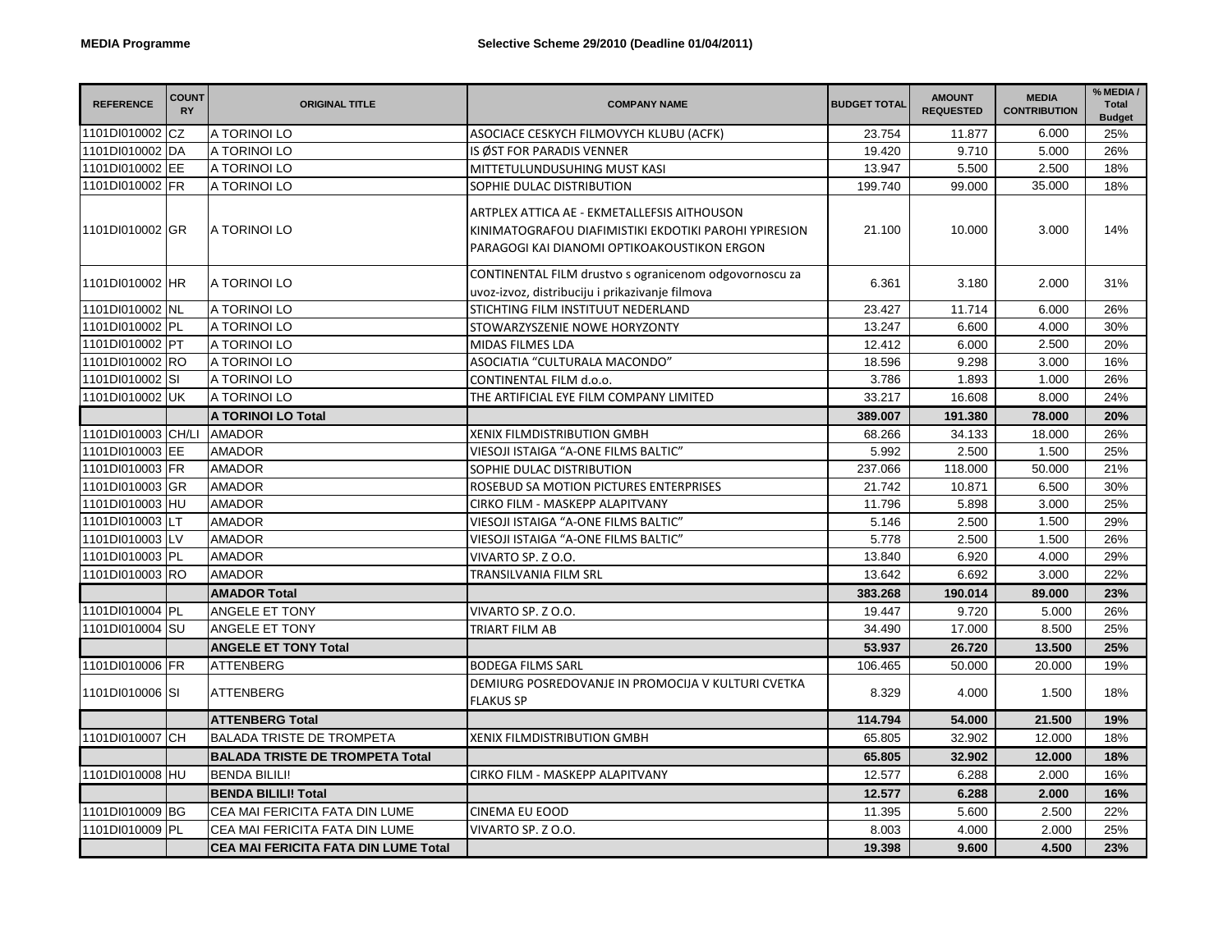| <b>REFERENCE</b>   | <b>COUNT</b><br><b>RY</b> | <b>ORIGINAL TITLE</b>                       | <b>COMPANY NAME</b>                                                                                                                                 | <b>BUDGET TOTAL</b> | <b>AMOUNT</b><br><b>REQUESTED</b> | <b>MEDIA</b><br><b>CONTRIBUTION</b> | % MEDIA /<br><b>Total</b><br><b>Budget</b> |
|--------------------|---------------------------|---------------------------------------------|-----------------------------------------------------------------------------------------------------------------------------------------------------|---------------------|-----------------------------------|-------------------------------------|--------------------------------------------|
| 1101DI010002 CZ    |                           | A TORINOI LO                                | ASOCIACE CESKYCH FILMOVYCH KLUBU (ACFK)                                                                                                             | 23.754              | 11.877                            | 6.000                               | 25%                                        |
| 1101DI010002 DA    |                           | A TORINOI LO                                | IS ØST FOR PARADIS VENNER                                                                                                                           | 19.420              | 9.710                             | 5.000                               | 26%                                        |
| 1101DI010002 EE    |                           | A TORINOI LO                                | MITTETULUNDUSUHING MUST KASI                                                                                                                        | 13.947              | 5.500                             | 2.500                               | 18%                                        |
| 1101DI010002 FR    |                           | A TORINOI LO                                | SOPHIE DULAC DISTRIBUTION                                                                                                                           | 199.740             | 99.000                            | 35.000                              | 18%                                        |
| 1101DI010002 GR    |                           | A TORINOI LO                                | ARTPLEX ATTICA AE - EKMETALLEFSIS AITHOUSON<br>KINIMATOGRAFOU DIAFIMISTIKI EKDOTIKI PAROHI YPIRESION<br>PARAGOGI KAI DIANOMI OPTIKOAKOUSTIKON ERGON | 21.100              | 10.000                            | 3.000                               | 14%                                        |
| 1101DI010002 HR    |                           | A TORINOI LO                                | CONTINENTAL FILM drustvo s ogranicenom odgovornoscu za<br>uvoz-izvoz, distribuciju i prikazivanje filmova                                           | 6.361               | 3.180                             | 2.000                               | 31%                                        |
| 1101DI010002 NL    |                           | A TORINOI LO                                | STICHTING FILM INSTITUUT NEDERLAND                                                                                                                  | 23.427              | 11.714                            | 6.000                               | 26%                                        |
| 1101DI010002 PL    |                           | A TORINOI LO                                | STOWARZYSZENIE NOWE HORYZONTY                                                                                                                       | 13.247              | 6.600                             | 4.000                               | 30%                                        |
| 1101DI010002 PT    |                           | A TORINOI LO                                | <b>MIDAS FILMES LDA</b>                                                                                                                             | 12.412              | 6.000                             | 2.500                               | 20%                                        |
| 1101DI010002 RO    |                           | A TORINOI LO                                | ASOCIATIA "CULTURALA MACONDO"                                                                                                                       | 18.596              | 9.298                             | 3.000                               | 16%                                        |
| 1101DI010002 SI    |                           | A TORINOI LO                                | CONTINENTAL FILM d.o.o.                                                                                                                             | 3.786               | 1.893                             | 1.000                               | 26%                                        |
| 1101DI010002 UK    |                           | A TORINOI LO                                | THE ARTIFICIAL EYE FILM COMPANY LIMITED                                                                                                             | 33.217              | 16.608                            | 8.000                               | 24%                                        |
|                    |                           | <b>A TORINOI LO Total</b>                   |                                                                                                                                                     | 389.007             | 191.380                           | 78.000                              | 20%                                        |
| 1101DI010003 CH/LI |                           | <b>AMADOR</b>                               | <b>XENIX FILMDISTRIBUTION GMBH</b>                                                                                                                  | 68.266              | 34.133                            | 18.000                              | 26%                                        |
| 1101DI010003 EE    |                           | <b>AMADOR</b>                               | VIESOJI ISTAIGA "A-ONE FILMS BALTIC"                                                                                                                | 5.992               | 2.500                             | 1.500                               | 25%                                        |
| 1101DI010003 FR    |                           | AMADOR                                      | SOPHIE DULAC DISTRIBUTION                                                                                                                           | 237.066             | 118.000                           | 50.000                              | 21%                                        |
| 1101DI010003 GR    |                           | <b>AMADOR</b>                               | ROSEBUD SA MOTION PICTURES ENTERPRISES                                                                                                              | 21.742              | 10.871                            | 6.500                               | 30%                                        |
| 1101DI010003 HU    |                           | <b>AMADOR</b>                               | CIRKO FILM - MASKEPP ALAPITVANY                                                                                                                     | 11.796              | 5.898                             | 3.000                               | 25%                                        |
| 1101DI010003 LT    |                           | <b>AMADOR</b>                               | VIESOJI ISTAIGA "A-ONE FILMS BALTIC"                                                                                                                | 5.146               | 2.500                             | 1.500                               | 29%                                        |
| 1101DI010003 LV    |                           | AMADOR                                      | VIESOJI ISTAIGA "A-ONE FILMS BALTIC"                                                                                                                | 5.778               | 2.500                             | 1.500                               | 26%                                        |
| 1101DI010003 PL    |                           | <b>AMADOR</b>                               | VIVARTO SP. Z O.O.                                                                                                                                  | 13.840              | 6.920                             | 4.000                               | 29%                                        |
| 1101DI010003 RO    |                           | <b>AMADOR</b>                               | TRANSILVANIA FILM SRL                                                                                                                               | 13.642              | 6.692                             | 3.000                               | 22%                                        |
|                    |                           | <b>AMADOR Total</b>                         |                                                                                                                                                     | 383.268             | 190.014                           | 89.000                              | 23%                                        |
| 1101DI010004 PL    |                           | ANGELE ET TONY                              | VIVARTO SP. Z O.O.                                                                                                                                  | 19.447              | 9.720                             | 5.000                               | 26%                                        |
| 1101DI010004 SU    |                           | ANGELE ET TONY                              | TRIART FILM AB                                                                                                                                      | 34.490              | 17.000                            | 8.500                               | 25%                                        |
|                    |                           | <b>ANGELE ET TONY Total</b>                 |                                                                                                                                                     | 53.937              | 26.720                            | 13.500                              | 25%                                        |
| 1101DI010006 FR    |                           | <b>ATTENBERG</b>                            | <b>BODEGA FILMS SARL</b>                                                                                                                            | 106.465             | 50.000                            | 20.000                              | 19%                                        |
| 1101DI010006 SI    |                           | <b>ATTENBERG</b>                            | DEMIURG POSREDOVANJE IN PROMOCIJA V KULTURI CVETKA<br><b>FLAKUS SP</b>                                                                              | 8.329               | 4.000                             | 1.500                               | 18%                                        |
|                    |                           | <b>ATTENBERG Total</b>                      |                                                                                                                                                     | 114.794             | 54.000                            | 21.500                              | 19%                                        |
| 1101DI010007 CH    |                           | <b>BALADA TRISTE DE TROMPETA</b>            | <b>XENIX FILMDISTRIBUTION GMBH</b>                                                                                                                  | 65.805              | 32.902                            | 12.000                              | 18%                                        |
|                    |                           | <b>BALADA TRISTE DE TROMPETA Total</b>      |                                                                                                                                                     | 65.805              | 32.902                            | 12.000                              | 18%                                        |
| 1101DI010008 HU    |                           | <b>BENDA BILILI!</b>                        | CIRKO FILM - MASKEPP ALAPITVANY                                                                                                                     | 12.577              | 6.288                             | 2.000                               | 16%                                        |
|                    |                           | <b>BENDA BILILI! Total</b>                  |                                                                                                                                                     | 12.577              | 6.288                             | 2.000                               | 16%                                        |
| 1101DI010009 BG    |                           | CEA MAI FERICITA FATA DIN LUME              | <b>CINEMA EU EOOD</b>                                                                                                                               | 11.395              | 5.600                             | 2.500                               | 22%                                        |
| 1101DI010009 PL    |                           | CEA MAI FERICITA FATA DIN LUME              | VIVARTO SP. Z O.O.                                                                                                                                  | 8.003               | 4.000                             | 2.000                               | 25%                                        |
|                    |                           | <b>CEA MAI FERICITA FATA DIN LUME Total</b> |                                                                                                                                                     | 19.398              | 9.600                             | 4.500                               | 23%                                        |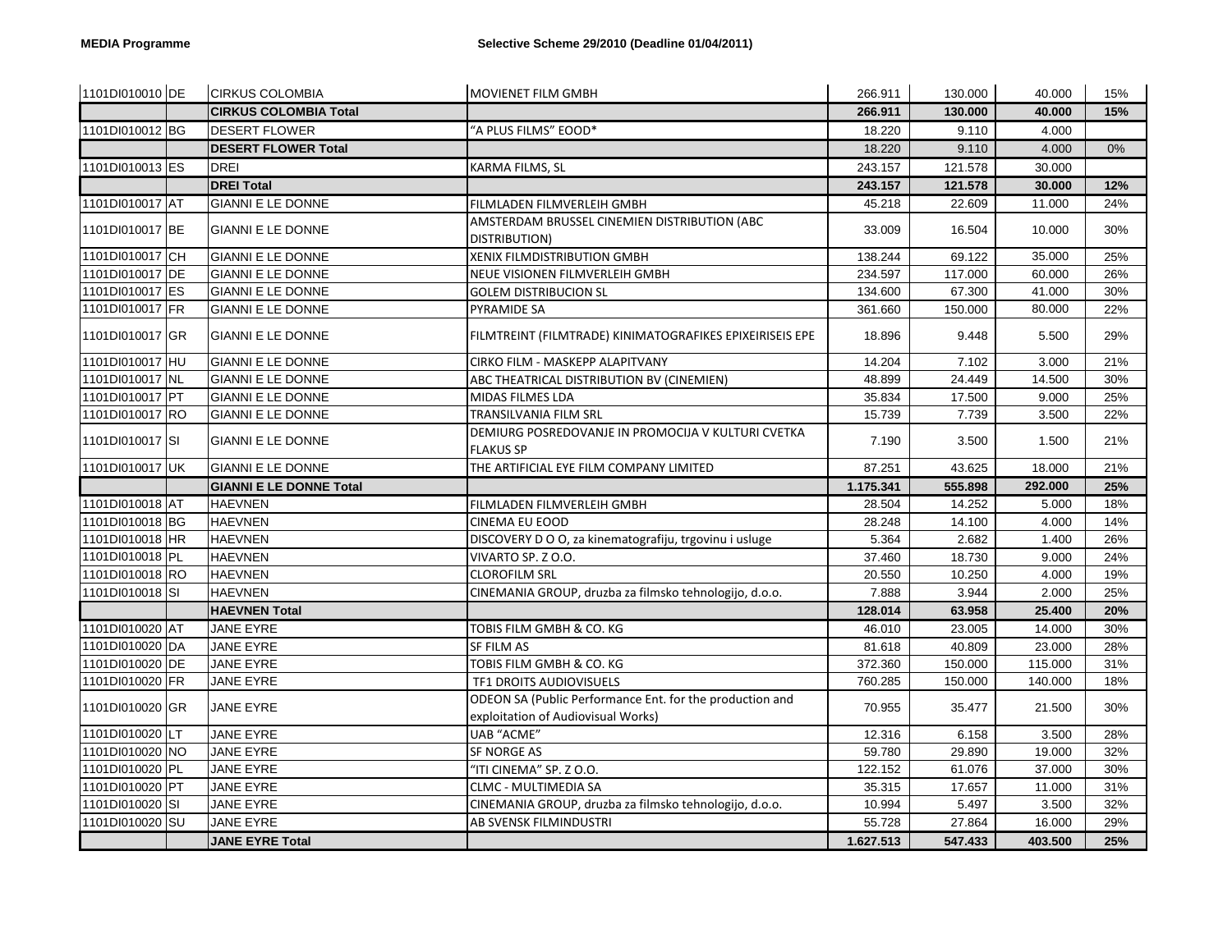| 1101DI010010 DE | <b>CIRKUS COLOMBIA</b>         | MOVIENET FILM GMBH                                                                             | 266.911   | 130.000 | 40.000  | 15% |
|-----------------|--------------------------------|------------------------------------------------------------------------------------------------|-----------|---------|---------|-----|
|                 | <b>CIRKUS COLOMBIA Total</b>   |                                                                                                | 266.911   | 130.000 | 40.000  | 15% |
| 1101DI010012 BG | <b>DESERT FLOWER</b>           | "A PLUS FILMS" EOOD*                                                                           | 18.220    | 9.110   | 4.000   |     |
|                 | <b>DESERT FLOWER Total</b>     |                                                                                                | 18.220    | 9.110   | 4.000   | 0%  |
| 1101DI010013 ES | <b>DREI</b>                    | KARMA FILMS, SL                                                                                | 243.157   | 121.578 | 30.000  |     |
|                 | <b>DREI Total</b>              |                                                                                                | 243.157   | 121.578 | 30.000  | 12% |
| 1101DI010017 AT | <b>GIANNI E LE DONNE</b>       | FILMLADEN FILMVERLEIH GMBH                                                                     | 45.218    | 22.609  | 11.000  | 24% |
| 1101DI010017 BE | <b>GIANNI E LE DONNE</b>       | AMSTERDAM BRUSSEL CINEMIEN DISTRIBUTION (ABC<br>DISTRIBUTION)                                  | 33.009    | 16.504  | 10.000  | 30% |
| 1101DI010017 CH | <b>GIANNI E LE DONNE</b>       | XENIX FILMDISTRIBUTION GMBH                                                                    | 138.244   | 69.122  | 35.000  | 25% |
| 1101DI010017 DE | <b>GIANNI E LE DONNE</b>       | NEUE VISIONEN FILMVERLEIH GMBH                                                                 | 234.597   | 117.000 | 60.000  | 26% |
| 1101DI010017 ES | <b>GIANNI E LE DONNE</b>       | <b>GOLEM DISTRIBUCION SL</b>                                                                   | 134.600   | 67.300  | 41.000  | 30% |
| 1101DI010017 FR | GIANNI E LE DONNE              | PYRAMIDE SA                                                                                    | 361.660   | 150.000 | 80.000  | 22% |
| 1101DI010017 GR | <b>GIANNI E LE DONNE</b>       | FILMTREINT (FILMTRADE) KINIMATOGRAFIKES EPIXEIRISEIS EPE                                       | 18.896    | 9.448   | 5.500   | 29% |
| 1101DI010017 HU | <b>GIANNI E LE DONNE</b>       | CIRKO FILM - MASKEPP ALAPITVANY                                                                | 14.204    | 7.102   | 3.000   | 21% |
| 1101DI010017 NL | <b>GIANNI E LE DONNE</b>       | ABC THEATRICAL DISTRIBUTION BV (CINEMIEN)                                                      | 48.899    | 24.449  | 14.500  | 30% |
| 1101DI010017 PT | <b>GIANNI E LE DONNE</b>       | MIDAS FILMES LDA                                                                               | 35.834    | 17.500  | 9.000   | 25% |
| 1101DI010017 RO | <b>GIANNI E LE DONNE</b>       | TRANSILVANIA FILM SRL                                                                          | 15.739    | 7.739   | 3.500   | 22% |
| 1101DI010017 SI | <b>GIANNI E LE DONNE</b>       | DEMIURG POSREDOVANJE IN PROMOCIJA V KULTURI CVETKA<br><b>FLAKUS SP</b>                         | 7.190     | 3.500   | 1.500   | 21% |
|                 |                                |                                                                                                |           |         |         |     |
| 1101DI010017 UK | <b>GIANNI E LE DONNE</b>       | THE ARTIFICIAL EYE FILM COMPANY LIMITED                                                        | 87.251    | 43.625  | 18.000  | 21% |
|                 | <b>GIANNI E LE DONNE Total</b> |                                                                                                | 1.175.341 | 555.898 | 292.000 | 25% |
| 1101DI010018 AT | <b>HAEVNEN</b>                 | FILMLADEN FILMVERLEIH GMBH                                                                     | 28.504    | 14.252  | 5.000   | 18% |
| 1101DI010018 BG | <b>HAEVNEN</b>                 | <b>CINEMA EU EOOD</b>                                                                          | 28.248    | 14.100  | 4.000   | 14% |
| 1101DI010018 HR | <b>HAEVNEN</b>                 | DISCOVERY D O O, za kinematografiju, trgovinu i usluge                                         | 5.364     | 2.682   | 1.400   | 26% |
| 1101DI010018 PL | <b>HAEVNEN</b>                 | VIVARTO SP. Z O.O.                                                                             | 37.460    | 18.730  | 9.000   | 24% |
| 1101DI010018 RO | <b>HAEVNEN</b>                 | <b>CLOROFILM SRL</b>                                                                           | 20.550    | 10.250  | 4.000   | 19% |
| 1101DI010018 SI | <b>HAEVNEN</b>                 | CINEMANIA GROUP, druzba za filmsko tehnologijo, d.o.o.                                         | 7.888     | 3.944   | 2.000   | 25% |
|                 | <b>HAEVNEN Total</b>           |                                                                                                | 128.014   | 63.958  | 25.400  | 20% |
| 1101DI010020 AT | JANE EYRE                      | TOBIS FILM GMBH & CO. KG                                                                       | 46.010    | 23.005  | 14.000  | 30% |
| 1101DI010020 DA | <b>JANE EYRE</b>               | SF FILM AS                                                                                     | 81.618    | 40.809  | 23.000  | 28% |
| 1101DI010020 DE | JANE EYRE                      | TOBIS FILM GMBH & CO. KG                                                                       | 372.360   | 150.000 | 115.000 | 31% |
| 1101DI010020 FR | JANE EYRE                      | TF1 DROITS AUDIOVISUELS                                                                        | 760.285   | 150.000 | 140.000 | 18% |
| 1101DI010020 GR | <b>JANE EYRE</b>               | ODEON SA (Public Performance Ent. for the production and<br>exploitation of Audiovisual Works) | 70.955    | 35.477  | 21.500  | 30% |
| 1101DI010020 LT | <b>JANE EYRE</b>               | <b>UAB "ACME"</b>                                                                              | 12.316    | 6.158   | 3.500   | 28% |
| 1101DI010020 NO | JANE EYRE                      | SF NORGE AS                                                                                    | 59.780    | 29.890  | 19.000  | 32% |
| 1101DI010020 PL | JANE EYRE                      | "ITI CINEMA" SP. Z O.O.                                                                        | 122.152   | 61.076  | 37.000  | 30% |
| 1101DI010020 PT | JANE EYRE                      | CLMC - MULTIMEDIA SA                                                                           | 35.315    | 17.657  | 11.000  | 31% |
| 1101DI010020 SI | JANE EYRE                      | CINEMANIA GROUP, druzba za filmsko tehnologijo, d.o.o.                                         | 10.994    | 5.497   | 3.500   | 32% |
| 1101DI010020 SU | JANE EYRE                      | AB SVENSK FILMINDUSTRI                                                                         | 55.728    | 27.864  | 16.000  | 29% |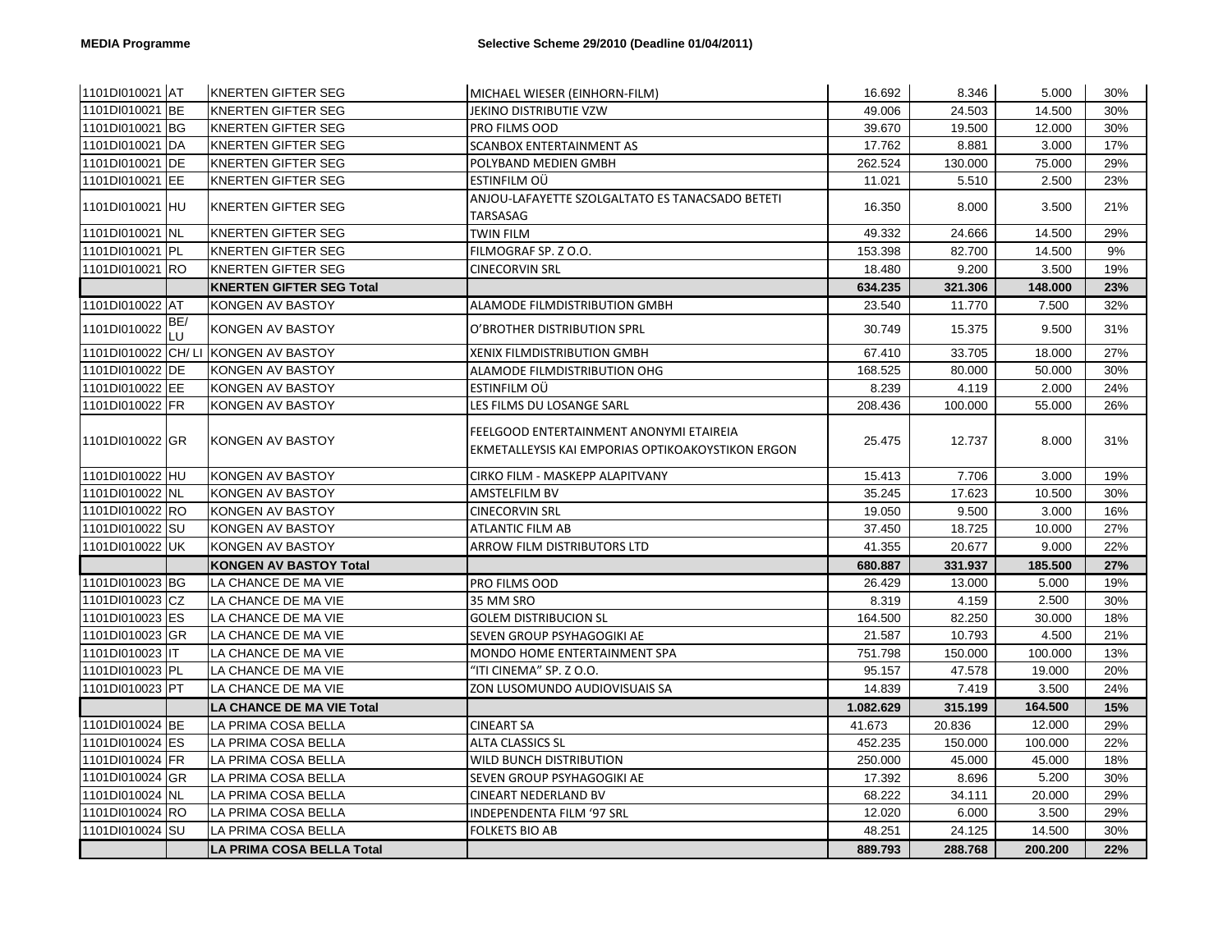| 1101DI010021 AT  |               | <b>KNERTEN GIFTER SEG</b>            | MICHAEL WIESER (EINHORN-FILM)                                                                | 16.692    | 8.346   | 5.000   | 30% |
|------------------|---------------|--------------------------------------|----------------------------------------------------------------------------------------------|-----------|---------|---------|-----|
| 1101DI010021 BE  |               | <b>KNERTEN GIFTER SEG</b>            | JEKINO DISTRIBUTIE VZW                                                                       | 49.006    | 24.503  | 14.500  | 30% |
| 1101DI010021 BG  |               | KNERTEN GIFTER SEG                   | PRO FILMS OOD                                                                                | 39.670    | 19.500  | 12.000  | 30% |
| 1101DI010021 DA  |               | KNERTEN GIFTER SEG                   | <b>SCANBOX ENTERTAINMENT AS</b>                                                              | 17.762    | 8.881   | 3.000   | 17% |
| 1101DI010021 IDE |               | <b>KNERTEN GIFTER SEG</b>            | POLYBAND MEDIEN GMBH                                                                         | 262.524   | 130.000 | 75.000  | 29% |
| 1101DI010021 EE  |               | KNERTEN GIFTER SEG                   | ESTINFILM OÜ                                                                                 | 11.021    | 5.510   | 2.500   | 23% |
| 1101DI010021 HU  |               | <b>KNERTEN GIFTER SEG</b>            | ANJOU-LAFAYETTE SZOLGALTATO ES TANACSADO BETETI<br><b>TARSASAG</b>                           | 16.350    | 8.000   | 3.500   | 21% |
| 1101DI010021 NL  |               | KNERTEN GIFTER SEG                   | TWIN FILM                                                                                    | 49.332    | 24.666  | 14.500  | 29% |
| 1101DI010021 PL  |               | KNERTEN GIFTER SEG                   | FILMOGRAF SP. Z O.O.                                                                         | 153.398   | 82.700  | 14.500  | 9%  |
| 1101DI010021 RO  |               | KNERTEN GIFTER SEG                   | <b>CINECORVIN SRL</b>                                                                        | 18.480    | 9.200   | 3.500   | 19% |
|                  |               | <b>KNERTEN GIFTER SEG Total</b>      |                                                                                              | 634.235   | 321.306 | 148.000 | 23% |
| 1101DI010022 AT  |               | KONGEN AV BASTOY                     | ALAMODE FILMDISTRIBUTION GMBH                                                                | 23.540    | 11.770  | 7.500   | 32% |
| 1101DI010022     | BE/<br>$\cup$ | KONGEN AV BASTOY                     | O'BROTHER DISTRIBUTION SPRL                                                                  | 30.749    | 15.375  | 9.500   | 31% |
|                  |               | 1101DI010022 CH/ LI KONGEN AV BASTOY | <b>XENIX FILMDISTRIBUTION GMBH</b>                                                           | 67.410    | 33.705  | 18.000  | 27% |
| 1101DI010022 DE  |               | KONGEN AV BASTOY                     | ALAMODE FILMDISTRIBUTION OHG                                                                 | 168.525   | 80.000  | 50.000  | 30% |
| 1101DI010022 EE  |               | KONGEN AV BASTOY                     | ESTINFILM OU                                                                                 | 8.239     | 4.119   | 2.000   | 24% |
| 1101DI010022 FR  |               | KONGEN AV BASTOY                     | LES FILMS DU LOSANGE SARL                                                                    | 208.436   | 100.000 | 55.000  | 26% |
| 1101DI010022 GR  |               | KONGEN AV BASTOY                     | FEELGOOD ENTERTAINMENT ANONYMI ETAIREIA<br>EKMETALLEYSIS KAI EMPORIAS OPTIKOAKOYSTIKON ERGON | 25.475    | 12.737  | 8.000   | 31% |
| 1101DI010022 HU  |               | KONGEN AV BASTOY                     | CIRKO FILM - MASKEPP ALAPITVANY                                                              | 15.413    | 7.706   | 3.000   | 19% |
| 1101DI010022 NL  |               | KONGEN AV BASTOY                     | AMSTELFILM BV                                                                                | 35.245    | 17.623  | 10.500  | 30% |
| 1101DI010022 RO  |               | KONGEN AV BASTOY                     | <b>CINECORVIN SRL</b>                                                                        | 19.050    | 9.500   | 3.000   | 16% |
| 1101DI010022 SU  |               | KONGEN AV BASTOY                     | <b>ATLANTIC FILM AB</b>                                                                      | 37.450    | 18.725  | 10.000  | 27% |
| 1101DI010022 UK  |               | KONGEN AV BASTOY                     | ARROW FILM DISTRIBUTORS LTD                                                                  | 41.355    | 20.677  | 9.000   | 22% |
|                  |               | <b>KONGEN AV BASTOY Total</b>        |                                                                                              | 680.887   | 331.937 | 185.500 | 27% |
| 1101DI010023 BG  |               | LA CHANCE DE MA VIE                  | PRO FILMS OOD                                                                                | 26.429    | 13.000  | 5.000   | 19% |
| 1101DI010023 CZ  |               | LA CHANCE DE MA VIE                  | 35 MM SRO                                                                                    | 8.319     | 4.159   | 2.500   | 30% |
| 1101DI010023 ES  |               | LA CHANCE DE MA VIE                  | <b>GOLEM DISTRIBUCION SL</b>                                                                 | 164.500   | 82.250  | 30.000  | 18% |
| 1101DI010023 GR  |               | LA CHANCE DE MA VIE                  | SEVEN GROUP PSYHAGOGIKI AE                                                                   | 21.587    | 10.793  | 4.500   | 21% |
| 1101DI010023 IT  |               | LA CHANCE DE MA VIE                  | MONDO HOME ENTERTAINMENT SPA                                                                 | 751.798   | 150.000 | 100.000 | 13% |
| 1101DI010023 PL  |               | LA CHANCE DE MA VIE                  | "ITI CINEMA" SP. Z O.O.                                                                      | 95.157    | 47.578  | 19.000  | 20% |
| 1101DI010023 PT  |               | LA CHANCE DE MA VIE                  | ZON LUSOMUNDO AUDIOVISUAIS SA                                                                | 14.839    | 7.419   | 3.500   | 24% |
|                  |               | <b>LA CHANCE DE MA VIE Total</b>     |                                                                                              | 1.082.629 | 315.199 | 164.500 | 15% |
| 1101DI010024 BE  |               | LA PRIMA COSA BELLA                  | <b>CINEART SA</b>                                                                            | 41.673    | 20.836  | 12.000  | 29% |
| 1101DI010024 ES  |               | LA PRIMA COSA BELLA                  | <b>ALTA CLASSICS SL</b>                                                                      | 452.235   | 150.000 | 100.000 | 22% |
| 1101DI010024 FR  |               | LA PRIMA COSA BELLA                  | WILD BUNCH DISTRIBUTION                                                                      | 250.000   | 45.000  | 45.000  | 18% |
| 1101DI010024 GR  |               | LA PRIMA COSA BELLA                  | SEVEN GROUP PSYHAGOGIKI AE                                                                   | 17.392    | 8.696   | 5.200   | 30% |
| 1101DI010024 NL  |               | LA PRIMA COSA BELLA                  | <b>CINEART NEDERLAND BV</b>                                                                  | 68.222    | 34.111  | 20.000  | 29% |
| 1101DI010024 RO  |               | LA PRIMA COSA BELLA                  | INDEPENDENTA FILM '97 SRL                                                                    | 12.020    | 6.000   | 3.500   | 29% |
| 1101DI010024 SU  |               | LA PRIMA COSA BELLA                  | FOLKETS BIO AB                                                                               | 48.251    | 24.125  | 14.500  | 30% |
|                  |               | <b>LA PRIMA COSA BELLA Total</b>     |                                                                                              | 889.793   | 288.768 | 200.200 | 22% |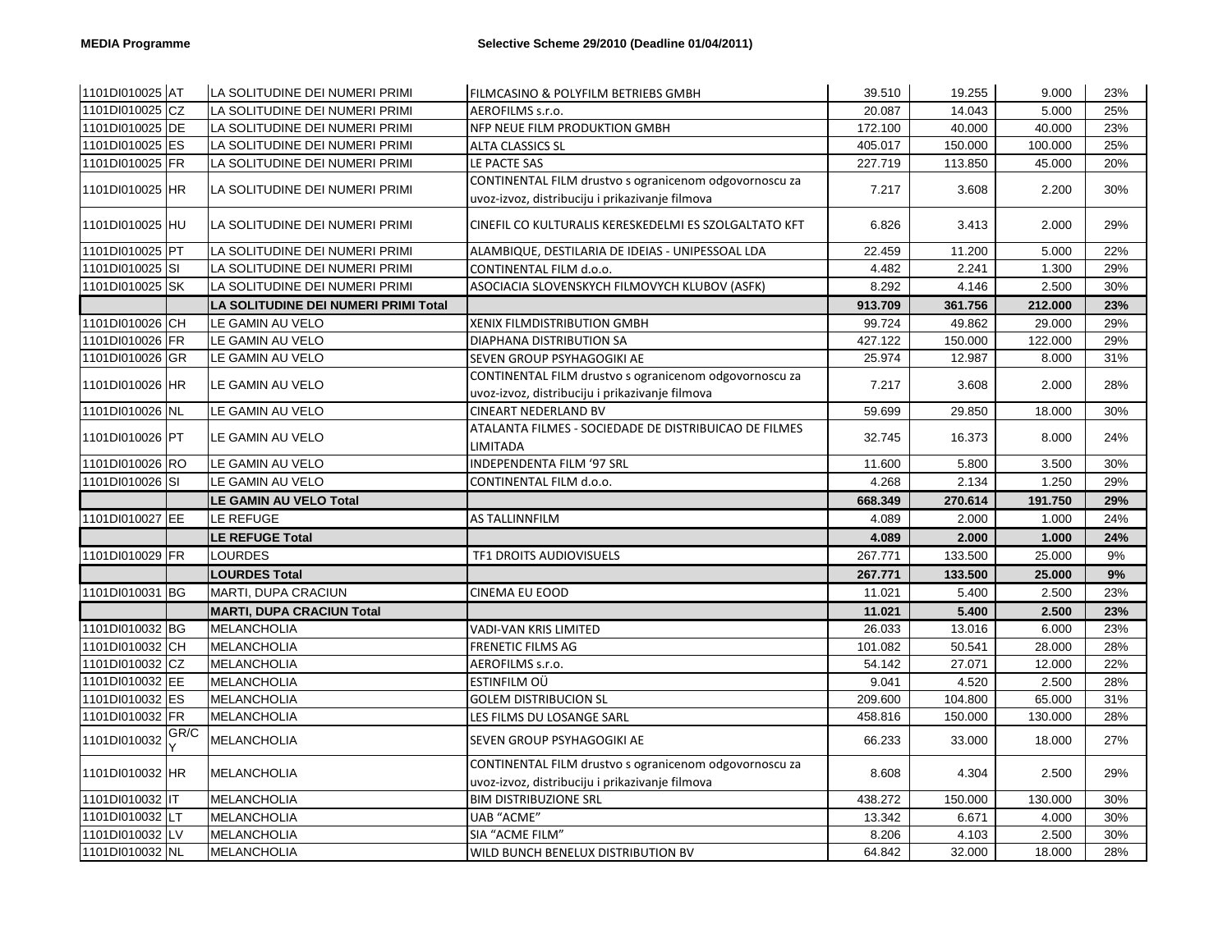| 1101DI010025 AT |      | LA SOLITUDINE DEI NUMERI PRIMI       | FILMCASINO & POLYFILM BETRIEBS GMBH                                                                       | 39.510  | 19.255  | 9.000   | 23% |
|-----------------|------|--------------------------------------|-----------------------------------------------------------------------------------------------------------|---------|---------|---------|-----|
| 1101DI010025 CZ |      | LA SOLITUDINE DEI NUMERI PRIMI       | AEROFILMS s.r.o.                                                                                          | 20.087  | 14.043  | 5.000   | 25% |
| 1101DI010025 DE |      | LA SOLITUDINE DEI NUMERI PRIMI       | NFP NEUE FILM PRODUKTION GMBH                                                                             | 172.100 | 40.000  | 40.000  | 23% |
| 1101DI010025 ES |      | LA SOLITUDINE DEI NUMERI PRIMI       | <b>ALTA CLASSICS SL</b>                                                                                   | 405.017 | 150.000 | 100.000 | 25% |
| 1101DI010025 FR |      | LA SOLITUDINE DEI NUMERI PRIMI       | LE PACTE SAS                                                                                              | 227.719 | 113.850 | 45.000  | 20% |
| 1101DI010025 HR |      | LA SOLITUDINE DEI NUMERI PRIMI       | CONTINENTAL FILM drustvo s ogranicenom odgovornoscu za<br>uvoz-izvoz, distribuciju i prikazivanje filmova | 7.217   | 3.608   | 2.200   | 30% |
| 1101DI010025 HU |      | LA SOLITUDINE DEI NUMERI PRIMI       | CINEFIL CO KULTURALIS KERESKEDELMI ES SZOLGALTATO KFT                                                     | 6.826   | 3.413   | 2.000   | 29% |
| 1101DI010025 PT |      | LA SOLITUDINE DEI NUMERI PRIMI       | ALAMBIQUE, DESTILARIA DE IDEIAS - UNIPESSOAL LDA                                                          | 22.459  | 11.200  | 5.000   | 22% |
| 1101DI010025 SI |      | LA SOLITUDINE DEI NUMERI PRIMI       | CONTINENTAL FILM d.o.o.                                                                                   | 4.482   | 2.241   | 1.300   | 29% |
| 1101DI010025 SK |      | LA SOLITUDINE DEI NUMERI PRIMI       | ASOCIACIA SLOVENSKYCH FILMOVYCH KLUBOV (ASFK)                                                             | 8.292   | 4.146   | 2.500   | 30% |
|                 |      | LA SOLITUDINE DEI NUMERI PRIMI Total |                                                                                                           | 913.709 | 361.756 | 212.000 | 23% |
| 1101DI010026 CH |      | LE GAMIN AU VELO                     | <b>XENIX FILMDISTRIBUTION GMBH</b>                                                                        | 99.724  | 49.862  | 29.000  | 29% |
| 1101DI010026 FR |      | LE GAMIN AU VELO                     | DIAPHANA DISTRIBUTION SA                                                                                  | 427.122 | 150.000 | 122.000 | 29% |
| 1101DI010026 GR |      | LE GAMIN AU VELO                     | SEVEN GROUP PSYHAGOGIKI AE                                                                                | 25.974  | 12.987  | 8.000   | 31% |
| 1101DI010026 HR |      | LE GAMIN AU VELO                     | CONTINENTAL FILM drustvo s ogranicenom odgovornoscu za<br>uvoz-izvoz, distribuciju i prikazivanje filmova | 7.217   | 3.608   | 2.000   | 28% |
| 1101DI010026 NL |      | LE GAMIN AU VELO                     | <b>CINEART NEDERLAND BV</b>                                                                               | 59.699  | 29.850  | 18.000  | 30% |
| 1101DI010026 PT |      | LE GAMIN AU VELO                     | ATALANTA FILMES - SOCIEDADE DE DISTRIBUICAO DE FILMES<br>LIMITADA                                         | 32.745  | 16.373  | 8.000   | 24% |
| 1101DI010026 RO |      | LE GAMIN AU VELO                     | INDEPENDENTA FILM '97 SRL                                                                                 | 11.600  | 5.800   | 3.500   | 30% |
| 1101DI010026 SI |      | LE GAMIN AU VELO                     | CONTINENTAL FILM d.o.o.                                                                                   | 4.268   | 2.134   | 1.250   | 29% |
|                 |      | <b>LE GAMIN AU VELO Total</b>        |                                                                                                           | 668.349 | 270.614 | 191.750 | 29% |
| 1101DI010027 EE |      | LE REFUGE                            | AS TALLINNFILM                                                                                            | 4.089   | 2.000   | 1.000   | 24% |
|                 |      | <b>LE REFUGE Total</b>               |                                                                                                           | 4.089   | 2.000   | 1.000   | 24% |
| 1101DI010029 FR |      | <b>LOURDES</b>                       | TF1 DROITS AUDIOVISUELS                                                                                   | 267.771 | 133.500 | 25.000  | 9%  |
|                 |      | <b>LOURDES Total</b>                 |                                                                                                           | 267.771 | 133.500 | 25.000  | 9%  |
| 1101DI010031 BG |      | MARTI, DUPA CRACIUN                  | <b>CINEMA EU EOOD</b>                                                                                     | 11.021  | 5.400   | 2.500   | 23% |
|                 |      | <b>MARTI, DUPA CRACIUN Total</b>     |                                                                                                           | 11.021  | 5.400   | 2.500   | 23% |
| 1101DI010032 BG |      | <b>MELANCHOLIA</b>                   | VADI-VAN KRIS LIMITED                                                                                     | 26.033  | 13.016  | 6.000   | 23% |
| 1101DI010032 CH |      | MELANCHOLIA                          | FRENETIC FILMS AG                                                                                         | 101.082 | 50.541  | 28.000  | 28% |
| 1101DI010032 CZ |      | MELANCHOLIA                          | AEROFILMS s.r.o.                                                                                          | 54.142  | 27.071  | 12.000  | 22% |
| 1101DI010032 EE |      | MELANCHOLIA                          | ESTINFILM OÜ                                                                                              | 9.041   | 4.520   | 2.500   | 28% |
| 1101DI010032 ES |      | MELANCHOLIA                          | <b>GOLEM DISTRIBUCION SL</b>                                                                              | 209.600 | 104.800 | 65.000  | 31% |
| 1101DI010032 FR |      | <b>MELANCHOLIA</b>                   | LES FILMS DU LOSANGE SARL                                                                                 | 458.816 | 150.000 | 130.000 | 28% |
| 1101DI010032    | GR/C | <b>MELANCHOLIA</b>                   | SEVEN GROUP PSYHAGOGIKI AE                                                                                | 66.233  | 33.000  | 18.000  | 27% |
| 1101DI010032 HR |      | <b>MELANCHOLIA</b>                   | CONTINENTAL FILM drustvo s ogranicenom odgovornoscu za<br>uvoz-izvoz, distribuciju i prikazivanje filmova | 8.608   | 4.304   | 2.500   | 29% |
| 1101DI010032 IT |      | MELANCHOLIA                          | <b>BIM DISTRIBUZIONE SRL</b>                                                                              | 438.272 | 150.000 | 130.000 | 30% |
| 1101DI010032 LT |      | <b>MELANCHOLIA</b>                   | <b>UAB "ACME"</b>                                                                                         | 13.342  | 6.671   | 4.000   | 30% |
| 1101DI010032 LV |      | MELANCHOLIA                          | SIA "ACME FILM"                                                                                           | 8.206   | 4.103   | 2.500   | 30% |
| 1101DI010032 NL |      | MELANCHOLIA                          | WILD BUNCH BENELUX DISTRIBUTION BV                                                                        | 64.842  | 32.000  | 18.000  | 28% |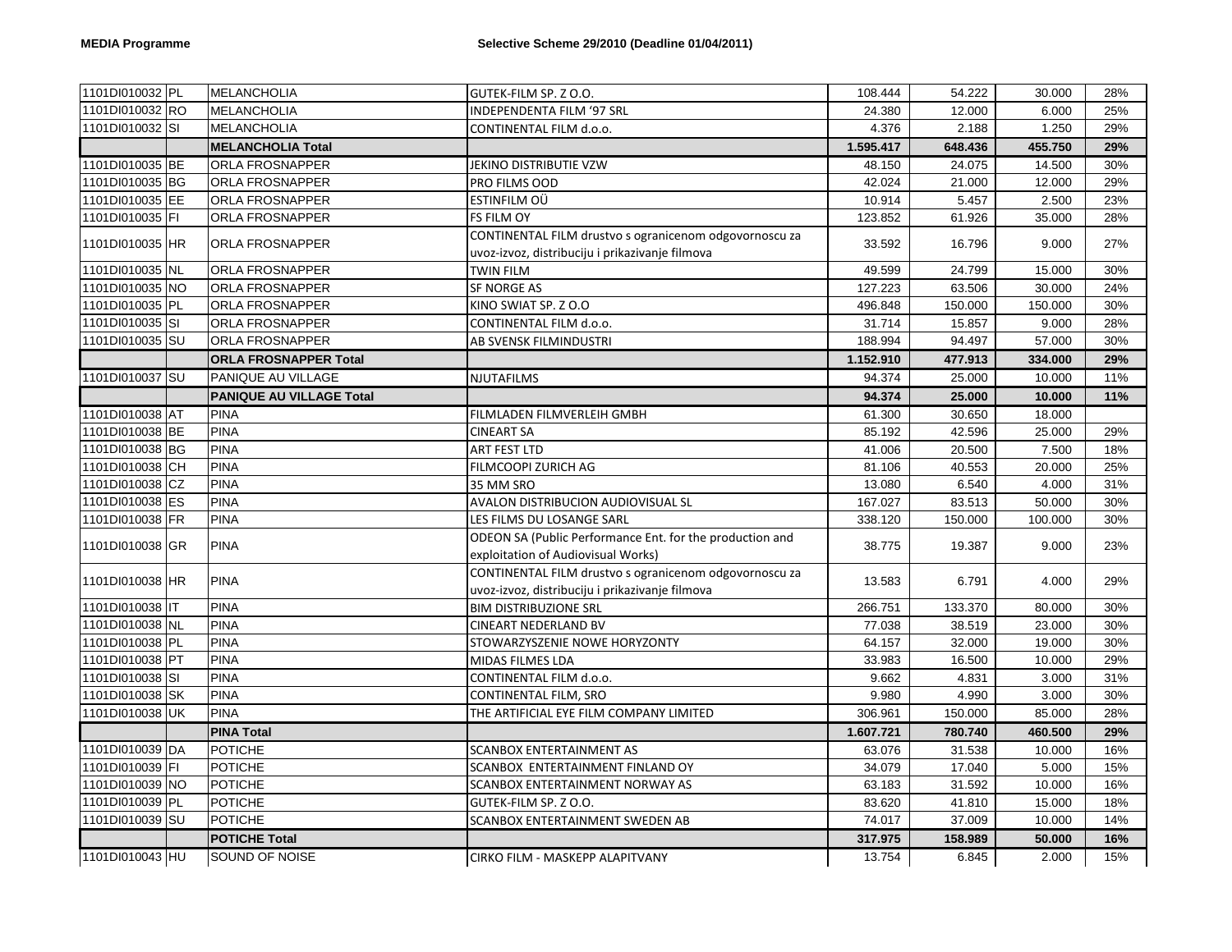| 1101DI010032 PL |           | MELANCHOLIA                     | GUTEK-FILM SP. Z O.O.                                    | 108.444   | 54.222  | 30.000  | 28% |
|-----------------|-----------|---------------------------------|----------------------------------------------------------|-----------|---------|---------|-----|
| 1101DI010032 RO |           | <b>MELANCHOLIA</b>              | INDEPENDENTA FILM '97 SRL                                | 24.380    | 12.000  | 6.000   | 25% |
| 1101DI010032 SI |           | <b>MELANCHOLIA</b>              | CONTINENTAL FILM d.o.o.                                  | 4.376     | 2.188   | 1.250   | 29% |
|                 |           | <b>MELANCHOLIA Total</b>        |                                                          | 1.595.417 | 648.436 | 455.750 | 29% |
| 1101DI010035 BE |           | ORLA FROSNAPPER                 | JEKINO DISTRIBUTIE VZW                                   | 48.150    | 24.075  | 14.500  | 30% |
| 1101DI010035 BG |           | ORLA FROSNAPPER                 | PRO FILMS OOD                                            | 42.024    | 21.000  | 12.000  | 29% |
| 1101DI010035 EE |           | ORLA FROSNAPPER                 | ESTINFILM OÜ                                             | 10.914    | 5.457   | 2.500   | 23% |
| 1101DI010035 FI |           | ORLA FROSNAPPER                 | FS FILM OY                                               | 123.852   | 61.926  | 35.000  | 28% |
|                 |           |                                 | CONTINENTAL FILM drustvo s ogranicenom odgovornoscu za   |           |         |         |     |
| 1101DI010035 HR |           | ORLA FROSNAPPER                 | uvoz-izvoz, distribuciju i prikazivanje filmova          | 33.592    | 16.796  | 9.000   | 27% |
| 1101DI010035 NL |           | ORLA FROSNAPPER                 | TWIN FILM                                                | 49.599    | 24.799  | 15.000  | 30% |
| 1101DI010035 NO |           | ORLA FROSNAPPER                 | <b>SF NORGE AS</b>                                       | 127.223   | 63.506  | 30.000  | 24% |
| 1101DI010035 PL |           | ORLA FROSNAPPER                 | KINO SWIAT SP. Z O.O                                     | 496.848   | 150.000 | 150.000 | 30% |
| 1101DI010035 SI |           | ORLA FROSNAPPER                 | CONTINENTAL FILM d.o.o.                                  | 31.714    | 15.857  | 9.000   | 28% |
| 1101DI010035 SU |           | ORLA FROSNAPPER                 | AB SVENSK FILMINDUSTRI                                   | 188.994   | 94.497  | 57.000  | 30% |
|                 |           | <b>ORLA FROSNAPPER Total</b>    |                                                          | 1.152.910 | 477.913 | 334.000 | 29% |
| 1101DI010037 SU |           | PANIQUE AU VILLAGE              | <b>NJUTAFILMS</b>                                        | 94.374    | 25.000  | 10.000  | 11% |
|                 |           | <b>PANIQUE AU VILLAGE Total</b> |                                                          | 94.374    | 25.000  | 10.000  | 11% |
| 1101DI010038 AT |           | <b>PINA</b>                     | FILMLADEN FILMVERLEIH GMBH                               | 61.300    | 30.650  | 18.000  |     |
| 1101DI010038 BE |           | <b>PINA</b>                     | <b>CINEART SA</b>                                        | 85.192    | 42.596  | 25.000  | 29% |
| 1101DI010038 BG |           | <b>PINA</b>                     | <b>ART FEST LTD</b>                                      | 41.006    | 20.500  | 7.500   | 18% |
| 1101DI010038 CH |           | <b>PINA</b>                     | FILMCOOPI ZURICH AG                                      | 81.106    | 40.553  | 20.000  | 25% |
| 1101DI010038 CZ |           | <b>PINA</b>                     | 35 MM SRO                                                | 13.080    | 6.540   | 4.000   | 31% |
| 1101DI010038 ES |           | <b>PINA</b>                     | AVALON DISTRIBUCION AUDIOVISUAL SL                       | 167.027   | 83.513  | 50.000  | 30% |
| 1101DI010038 FR |           | <b>PINA</b>                     | LES FILMS DU LOSANGE SARL                                | 338.120   | 150.000 | 100.000 | 30% |
| 1101DI010038 GR |           | <b>PINA</b>                     | ODEON SA (Public Performance Ent. for the production and | 38.775    | 19.387  | 9.000   | 23% |
|                 |           |                                 | exploitation of Audiovisual Works)                       |           |         |         |     |
|                 |           | <b>PINA</b>                     | CONTINENTAL FILM drustvo s ogranicenom odgovornoscu za   |           |         | 4.000   | 29% |
| 1101DI010038 HR |           |                                 | uvoz-izvoz, distribuciju i prikazivanje filmova          | 13.583    | 6.791   |         |     |
| 1101DI010038 IT |           | <b>PINA</b>                     | <b>BIM DISTRIBUZIONE SRL</b>                             | 266.751   | 133.370 | 80.000  | 30% |
| 1101DI010038 NL |           | <b>PINA</b>                     | <b>CINEART NEDERLAND BV</b>                              | 77.038    | 38.519  | 23.000  | 30% |
| 1101DI010038 PL |           | <b>PINA</b>                     | STOWARZYSZENIE NOWE HORYZONTY                            | 64.157    | 32.000  | 19.000  | 30% |
| 1101DI010038 PT |           | <b>PINA</b>                     | MIDAS FILMES LDA                                         | 33.983    | 16.500  | 10.000  | 29% |
| 1101DI010038    | <b>SI</b> | <b>PINA</b>                     | CONTINENTAL FILM d.o.o.                                  | 9.662     | 4.831   | 3.000   | 31% |
| 1101DI010038 SK |           | <b>PINA</b>                     | CONTINENTAL FILM, SRO                                    | 9.980     | 4.990   | 3.000   | 30% |
| 1101DI010038 UK |           | PINA                            | THE ARTIFICIAL EYE FILM COMPANY LIMITED                  | 306.961   | 150.000 | 85.000  | 28% |
|                 |           | <b>PINA Total</b>               |                                                          | 1.607.721 | 780.740 | 460.500 | 29% |
| 1101DI010039 DA |           | <b>POTICHE</b>                  | <b>SCANBOX ENTERTAINMENT AS</b>                          | 63.076    | 31.538  | 10.000  | 16% |
| 1101DI010039 FI |           | <b>POTICHE</b>                  | SCANBOX ENTERTAINMENT FINLAND OY                         | 34.079    | 17.040  | 5.000   | 15% |
| 1101DI010039 NO |           | <b>POTICHE</b>                  | SCANBOX ENTERTAINMENT NORWAY AS                          | 63.183    | 31.592  | 10.000  | 16% |
| 1101DI010039 PL |           | <b>POTICHE</b>                  | GUTEK-FILM SP. Z O.O.                                    | 83.620    | 41.810  | 15.000  | 18% |
| 1101DI010039 SU |           | <b>POTICHE</b>                  | SCANBOX ENTERTAINMENT SWEDEN AB                          | 74.017    | 37.009  | 10.000  | 14% |
|                 |           | <b>POTICHE Total</b>            |                                                          | 317.975   | 158.989 | 50.000  | 16% |
| 1101DI010043 HU |           | SOUND OF NOISE                  | CIRKO FILM - MASKEPP ALAPITVANY                          | 13.754    | 6.845   | 2.000   | 15% |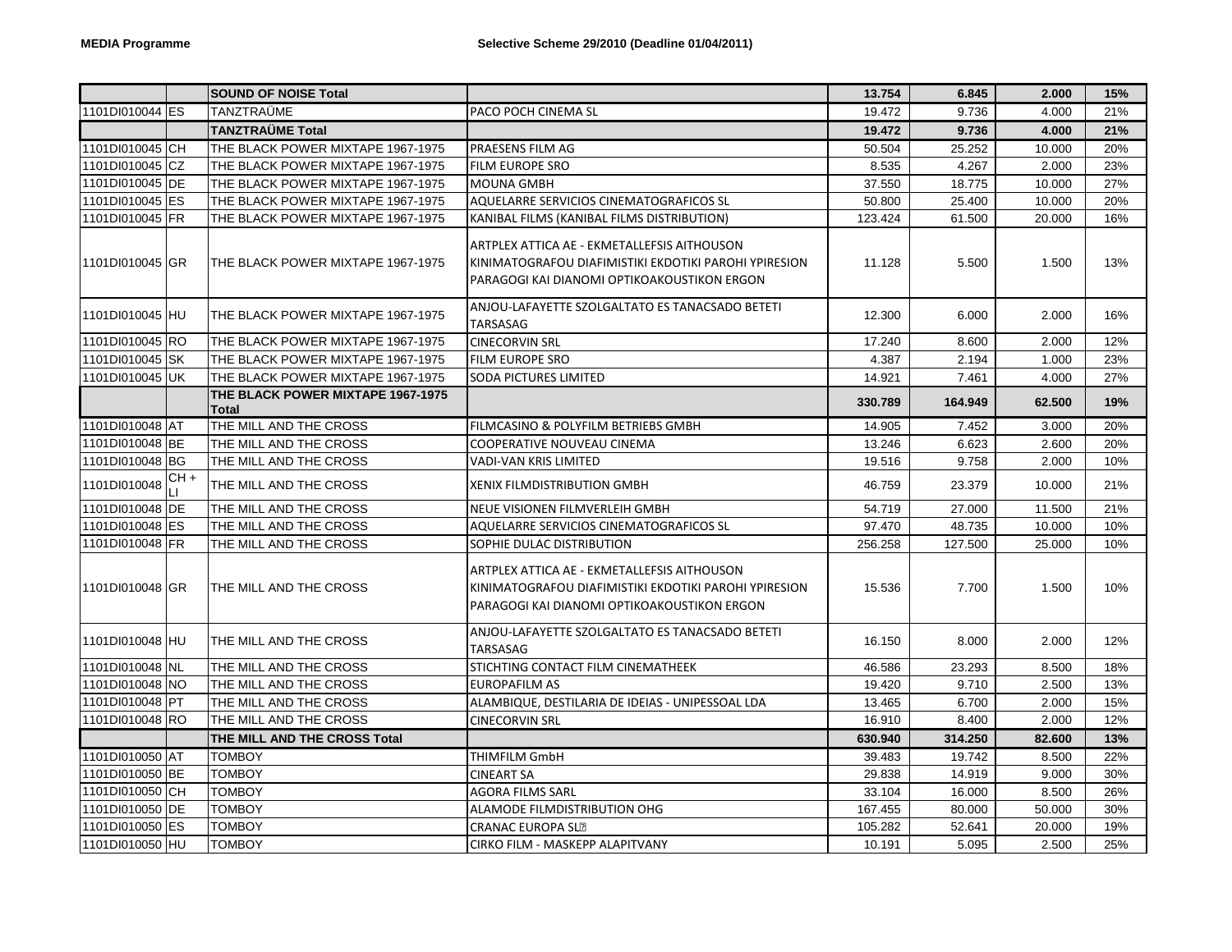|                 |      | <b>SOUND OF NOISE Total</b>                       |                                                                                                                                                     | 13.754  | 6.845   | 2.000  | 15% |
|-----------------|------|---------------------------------------------------|-----------------------------------------------------------------------------------------------------------------------------------------------------|---------|---------|--------|-----|
| 1101DI010044 ES |      | TANZTRAÜME                                        | PACO POCH CINEMA SL                                                                                                                                 | 19.472  | 9.736   | 4.000  | 21% |
|                 |      | TANZTRAÜME Total                                  |                                                                                                                                                     | 19.472  | 9.736   | 4.000  | 21% |
| 1101DI010045 CH |      | THE BLACK POWER MIXTAPE 1967-1975                 | PRAESENS FILM AG                                                                                                                                    | 50.504  | 25.252  | 10.000 | 20% |
| 1101DI010045 CZ |      | THE BLACK POWER MIXTAPE 1967-1975                 | FILM EUROPE SRO                                                                                                                                     | 8.535   | 4.267   | 2.000  | 23% |
| 1101DI010045 DE |      | THE BLACK POWER MIXTAPE 1967-1975                 | <b>MOUNA GMBH</b>                                                                                                                                   | 37.550  | 18.775  | 10.000 | 27% |
| 1101DI010045 ES |      | THE BLACK POWER MIXTAPE 1967-1975                 | AQUELARRE SERVICIOS CINEMATOGRAFICOS SL                                                                                                             | 50.800  | 25.400  | 10.000 | 20% |
| 1101DI010045 FR |      | THE BLACK POWER MIXTAPE 1967-1975                 | KANIBAL FILMS (KANIBAL FILMS DISTRIBUTION)                                                                                                          | 123.424 | 61.500  | 20.000 | 16% |
| 1101DI010045 GR |      | THE BLACK POWER MIXTAPE 1967-1975                 | ARTPLEX ATTICA AE - EKMETALLEFSIS AITHOUSON<br>KINIMATOGRAFOU DIAFIMISTIKI EKDOTIKI PAROHI YPIRESION<br>PARAGOGI KAI DIANOMI OPTIKOAKOUSTIKON ERGON | 11.128  | 5.500   | 1.500  | 13% |
| 1101DI010045 HU |      | THE BLACK POWER MIXTAPE 1967-1975                 | ANJOU-LAFAYETTE SZOLGALTATO ES TANACSADO BETETI<br>TARSASAG                                                                                         | 12.300  | 6.000   | 2.000  | 16% |
| 1101DI010045 RO |      | THE BLACK POWER MIXTAPE 1967-1975                 | <b>CINECORVIN SRL</b>                                                                                                                               | 17.240  | 8.600   | 2.000  | 12% |
| 1101DI010045 SK |      | THE BLACK POWER MIXTAPE 1967-1975                 | FILM EUROPE SRO                                                                                                                                     | 4.387   | 2.194   | 1.000  | 23% |
| 1101DI010045 UK |      | THE BLACK POWER MIXTAPE 1967-1975                 | <b>SODA PICTURES LIMITED</b>                                                                                                                        | 14.921  | 7.461   | 4.000  | 27% |
|                 |      | THE BLACK POWER MIXTAPE 1967-1975<br><b>Total</b> |                                                                                                                                                     | 330.789 | 164.949 | 62.500 | 19% |
| 1101DI010048 AT |      | THE MILL AND THE CROSS                            | FILMCASINO & POLYFILM BETRIEBS GMBH                                                                                                                 | 14.905  | 7.452   | 3.000  | 20% |
| 1101DI010048 BE |      | THE MILL AND THE CROSS                            | COOPERATIVE NOUVEAU CINEMA                                                                                                                          | 13.246  | 6.623   | 2.600  | 20% |
| 1101DI010048 BG |      | THE MILL AND THE CROSS                            | <b>VADI-VAN KRIS LIMITED</b>                                                                                                                        | 19.516  | 9.758   | 2.000  | 10% |
| 1101DI010048    | CH + | THE MILL AND THE CROSS                            | <b>XENIX FILMDISTRIBUTION GMBH</b>                                                                                                                  | 46.759  | 23.379  | 10.000 | 21% |
| 1101DI010048 DE |      | THE MILL AND THE CROSS                            | NEUE VISIONEN FILMVERLEIH GMBH                                                                                                                      | 54.719  | 27.000  | 11.500 | 21% |
| 1101DI010048 ES |      | THE MILL AND THE CROSS                            | AQUELARRE SERVICIOS CINEMATOGRAFICOS SL                                                                                                             | 97.470  | 48.735  | 10.000 | 10% |
| 1101DI010048 FR |      | THE MILL AND THE CROSS                            | SOPHIE DULAC DISTRIBUTION                                                                                                                           | 256.258 | 127.500 | 25.000 | 10% |
| 1101DI010048 GR |      | THE MILL AND THE CROSS                            | ARTPLEX ATTICA AE - EKMETALLEFSIS AITHOUSON<br>KINIMATOGRAFOU DIAFIMISTIKI EKDOTIKI PAROHI YPIRESION<br>PARAGOGI KAI DIANOMI OPTIKOAKOUSTIKON ERGON | 15.536  | 7.700   | 1.500  | 10% |
| 1101DI010048 HU |      | THE MILL AND THE CROSS                            | ANJOU-LAFAYETTE SZOLGALTATO ES TANACSADO BETETI<br>TARSASAG                                                                                         | 16.150  | 8.000   | 2.000  | 12% |
| 1101DI010048 NL |      | THE MILL AND THE CROSS                            | STICHTING CONTACT FILM CINEMATHEEK                                                                                                                  | 46.586  | 23.293  | 8.500  | 18% |
| 1101DI010048 NO |      | THE MILL AND THE CROSS                            | <b>EUROPAFILM AS</b>                                                                                                                                | 19.420  | 9.710   | 2.500  | 13% |
| 1101DI010048 PT |      | THE MILL AND THE CROSS                            | ALAMBIQUE, DESTILARIA DE IDEIAS - UNIPESSOAL LDA                                                                                                    | 13.465  | 6.700   | 2.000  | 15% |
| 1101DI010048 RO |      | THE MILL AND THE CROSS                            | <b>CINECORVIN SRL</b>                                                                                                                               | 16.910  | 8.400   | 2.000  | 12% |
|                 |      | THE MILL AND THE CROSS Total                      |                                                                                                                                                     | 630.940 | 314.250 | 82.600 | 13% |
| 1101DI010050 AT |      | <b>TOMBOY</b>                                     | <b>THIMFILM GmbH</b>                                                                                                                                | 39.483  | 19.742  | 8.500  | 22% |
| 1101DI010050 BE |      | TOMBOY                                            | <b>CINEART SA</b>                                                                                                                                   | 29.838  | 14.919  | 9.000  | 30% |
| 1101DI010050 CH |      | <b>TOMBOY</b>                                     | <b>AGORA FILMS SARL</b>                                                                                                                             | 33.104  | 16.000  | 8.500  | 26% |
| 1101DI010050 DE |      | <b>TOMBOY</b>                                     | ALAMODE FILMDISTRIBUTION OHG                                                                                                                        | 167.455 | 80.000  | 50.000 | 30% |
| 1101DI010050 ES |      | <b>TOMBOY</b>                                     | <b>CRANAC EUROPA SLE</b>                                                                                                                            | 105.282 | 52.641  | 20.000 | 19% |
| 1101DI010050 HU |      | <b>TOMBOY</b>                                     | CIRKO FILM - MASKEPP ALAPITVANY                                                                                                                     | 10.191  | 5.095   | 2.500  | 25% |